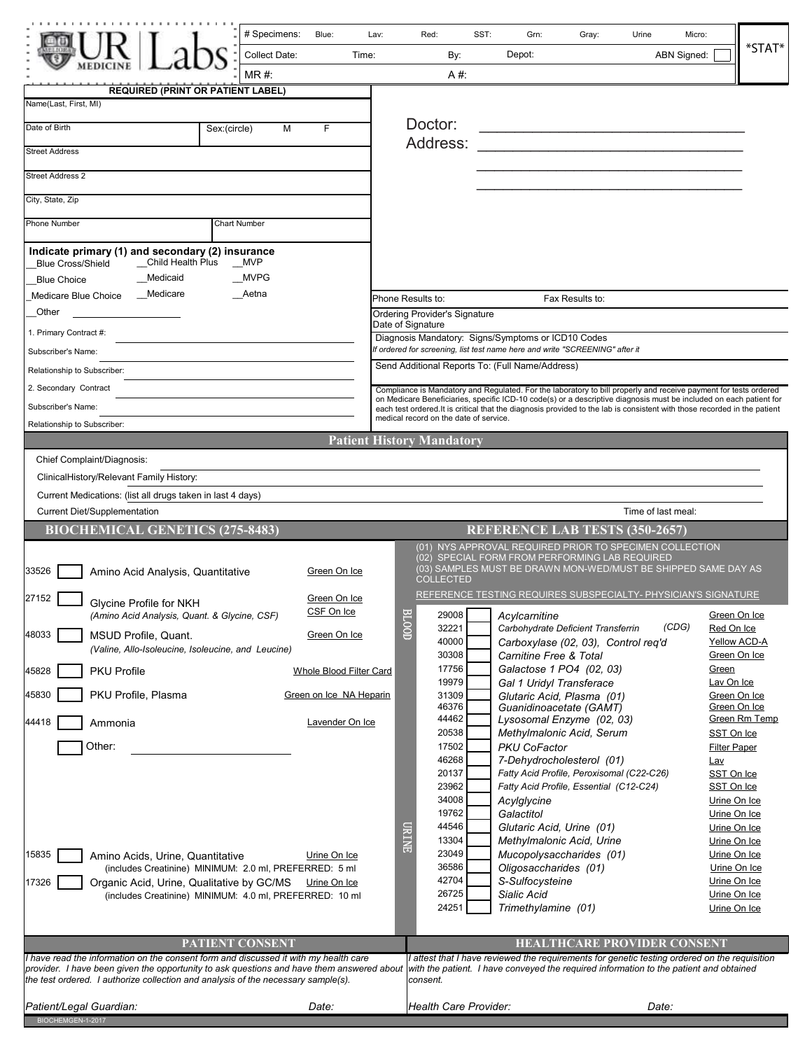|                                                                                                                                                                                | # Specimens:         | Blue:                          | Lav:  | Red:                                                                                                                              | SST: | Grn:                                                                                                                                                                                                                                   | Gray:                                                                     | Urine                              | Micro:                       |               |  |
|--------------------------------------------------------------------------------------------------------------------------------------------------------------------------------|----------------------|--------------------------------|-------|-----------------------------------------------------------------------------------------------------------------------------------|------|----------------------------------------------------------------------------------------------------------------------------------------------------------------------------------------------------------------------------------------|---------------------------------------------------------------------------|------------------------------------|------------------------------|---------------|--|
|                                                                                                                                                                                | <b>Collect Date:</b> |                                | Time: |                                                                                                                                   | By:  | Depot:                                                                                                                                                                                                                                 |                                                                           |                                    | ABN Signed:                  | $*$ STAT $*$  |  |
|                                                                                                                                                                                | MR#                  |                                |       |                                                                                                                                   | A #: |                                                                                                                                                                                                                                        |                                                                           |                                    |                              |               |  |
| <b>REQUIRED (PRINT OR PATIENT LABEL)</b><br>Name(Last, First, MI)                                                                                                              |                      |                                |       |                                                                                                                                   |      |                                                                                                                                                                                                                                        |                                                                           |                                    |                              |               |  |
| Date of Birth                                                                                                                                                                  | Sex:(circle)<br>М    | F                              |       | Doctor:                                                                                                                           |      |                                                                                                                                                                                                                                        |                                                                           |                                    |                              |               |  |
| <b>Street Address</b>                                                                                                                                                          |                      |                                |       | Address:                                                                                                                          |      |                                                                                                                                                                                                                                        |                                                                           |                                    |                              |               |  |
| <b>Street Address 2</b>                                                                                                                                                        |                      |                                |       |                                                                                                                                   |      |                                                                                                                                                                                                                                        |                                                                           |                                    |                              |               |  |
|                                                                                                                                                                                |                      |                                |       |                                                                                                                                   |      |                                                                                                                                                                                                                                        |                                                                           |                                    |                              |               |  |
| City, State, Zip                                                                                                                                                               |                      |                                |       |                                                                                                                                   |      |                                                                                                                                                                                                                                        |                                                                           |                                    |                              |               |  |
| Phone Number                                                                                                                                                                   | <b>Chart Number</b>  |                                |       |                                                                                                                                   |      |                                                                                                                                                                                                                                        |                                                                           |                                    |                              |               |  |
| Indicate primary (1) and secondary (2) insurance<br>_Child Health Plus<br><b>Blue Cross/Shield</b>                                                                             | <b>MVP</b>           |                                |       |                                                                                                                                   |      |                                                                                                                                                                                                                                        |                                                                           |                                    |                              |               |  |
| __Medicaid<br><b>Blue Choice</b>                                                                                                                                               | MVPG                 |                                |       |                                                                                                                                   |      |                                                                                                                                                                                                                                        |                                                                           |                                    |                              |               |  |
| Medicare<br>Medicare Blue Choice                                                                                                                                               | Aetna                |                                |       | Phone Results to:                                                                                                                 |      |                                                                                                                                                                                                                                        | Fax Results to:                                                           |                                    |                              |               |  |
| Other                                                                                                                                                                          |                      |                                |       | Ordering Provider's Signature<br>Date of Signature                                                                                |      |                                                                                                                                                                                                                                        |                                                                           |                                    |                              |               |  |
| 1. Primary Contract #:                                                                                                                                                         |                      |                                |       | Diagnosis Mandatory: Signs/Symptoms or ICD10 Codes<br>f ordered for screening, list test name here and write "SCREENING" after it |      |                                                                                                                                                                                                                                        |                                                                           |                                    |                              |               |  |
| Subscriber's Name:                                                                                                                                                             |                      |                                |       |                                                                                                                                   |      | Send Additional Reports To: (Full Name/Address)                                                                                                                                                                                        |                                                                           |                                    |                              |               |  |
| Relationship to Subscriber:<br>2. Secondary Contract                                                                                                                           |                      |                                |       |                                                                                                                                   |      |                                                                                                                                                                                                                                        |                                                                           |                                    |                              |               |  |
| Subscriber's Name:                                                                                                                                                             |                      |                                |       |                                                                                                                                   |      | Compliance is Mandatory and Regulated. For the laboratory to bill properly and receive payment for tests ordered<br>on Medicare Beneficiaries, specific ICD-10 code(s) or a descriptive diagnosis must be included on each patient for |                                                                           |                                    |                              |               |  |
| Relationship to Subscriber:                                                                                                                                                    |                      |                                |       | medical record on the date of service.                                                                                            |      | each test ordered. It is critical that the diagnosis provided to the lab is consistent with those recorded in the patient                                                                                                              |                                                                           |                                    |                              |               |  |
|                                                                                                                                                                                |                      |                                |       | <b>Patient History Mandatory</b>                                                                                                  |      |                                                                                                                                                                                                                                        |                                                                           |                                    |                              |               |  |
| Chief Complaint/Diagnosis:                                                                                                                                                     |                      |                                |       |                                                                                                                                   |      |                                                                                                                                                                                                                                        |                                                                           |                                    |                              |               |  |
| ClinicalHistory/Relevant Family History:                                                                                                                                       |                      |                                |       |                                                                                                                                   |      |                                                                                                                                                                                                                                        |                                                                           |                                    |                              |               |  |
| Current Medications: (list all drugs taken in last 4 days)                                                                                                                     |                      |                                |       |                                                                                                                                   |      |                                                                                                                                                                                                                                        |                                                                           |                                    |                              |               |  |
| <b>Current Diet/Supplementation</b>                                                                                                                                            |                      |                                |       |                                                                                                                                   |      |                                                                                                                                                                                                                                        |                                                                           | Time of last meal:                 |                              |               |  |
| <b>BIOCHEMICAL GENETICS (275-8483)</b>                                                                                                                                         |                      |                                |       |                                                                                                                                   |      | <b>REFERENCE LAB TESTS (350-2657)</b>                                                                                                                                                                                                  |                                                                           |                                    |                              |               |  |
|                                                                                                                                                                                |                      |                                |       |                                                                                                                                   |      | (01) NYS APPROVAL REQUIRED PRIOR TO SPECIMEN COLLECTION<br>(02) SPECIAL FORM FROM PERFORMING LAB REQUIRED                                                                                                                              |                                                                           |                                    |                              |               |  |
| 33526<br>Amino Acid Analysis, Quantitative                                                                                                                                     |                      | Green On Ice                   |       | <b>COLLECTED</b>                                                                                                                  |      | (03) SAMPLES MUST BE DRAWN MON-WED/MUST BE SHIPPED SAME DAY AS                                                                                                                                                                         |                                                                           |                                    |                              |               |  |
| 27152<br>Glycine Profile for NKH                                                                                                                                               |                      | Green On Ice                   |       |                                                                                                                                   |      | REFERENCE TESTING REQUIRES SUBSPECIALTY- PHYSICIAN'S SIGNATURE                                                                                                                                                                         |                                                                           |                                    |                              |               |  |
| (Amino Acid Analysis, Quant. & Glycine, CSF)                                                                                                                                   |                      | CSF On Ice                     |       | $\overline{\phantom{0}}$                                                                                                          |      | 29008 Acylcarnitine                                                                                                                                                                                                                    |                                                                           |                                    | Green On Ice                 |               |  |
| 48033<br>MSUD Profile, Quant.                                                                                                                                                  |                      | Green On Ice                   |       | $rac{1}{2}$<br>32221<br>40000                                                                                                     |      |                                                                                                                                                                                                                                        | Carbohydrate Deficient Transferrin<br>Carboxylase (02, 03), Control req'd |                                    | (CDG)<br>Red On Ice          | Yellow ACD-A  |  |
| (Valine, Allo-Isoleucine, Isoleucine, and Leucine)<br><b>PKU Profile</b>                                                                                                       |                      |                                |       | 30308<br>17756                                                                                                                    |      | Carnitine Free & Total                                                                                                                                                                                                                 | Galactose 1 PO4 (02, 03)                                                  |                                    | Green On Ice<br>Green        |               |  |
| 45828                                                                                                                                                                          |                      | <b>Whole Blood Filter Card</b> |       | 19979                                                                                                                             |      |                                                                                                                                                                                                                                        | Gal 1 Uridyl Transferace                                                  |                                    | Lav On Ice                   |               |  |
| 45830<br>PKU Profile, Plasma                                                                                                                                                   |                      | Green on Ice NA Heparin        |       | 31309<br>46376                                                                                                                    |      |                                                                                                                                                                                                                                        | Glutaric Acid, Plasma (01)<br>Guanidinoacetate (GAMT)                     |                                    | Green On Ice<br>Green On Ice |               |  |
| 44418<br>Ammonia                                                                                                                                                               |                      | Lavender On Ice                |       | 44462                                                                                                                             |      |                                                                                                                                                                                                                                        | Lysosomal Enzyme (02, 03)                                                 |                                    |                              | Green Rm Temp |  |
| Other:                                                                                                                                                                         |                      |                                |       | 20538<br>17502                                                                                                                    |      | <b>PKU CoFactor</b>                                                                                                                                                                                                                    | Methylmalonic Acid, Serum                                                 |                                    | SST On Ice                   |               |  |
|                                                                                                                                                                                |                      |                                |       | 46268                                                                                                                             |      |                                                                                                                                                                                                                                        | 7-Dehydrocholesterol (01)                                                 |                                    | <b>Filter Paper</b><br>Lav   |               |  |
|                                                                                                                                                                                |                      |                                |       | 20137                                                                                                                             |      |                                                                                                                                                                                                                                        | Fatty Acid Profile, Peroxisomal (C22-C26)                                 |                                    | SST On Ice                   |               |  |
|                                                                                                                                                                                |                      |                                |       | 23962<br>34008                                                                                                                    |      | Acylglycine                                                                                                                                                                                                                            | Fatty Acid Profile, Essential (C12-C24)                                   |                                    | SST On Ice<br>Urine On Ice   |               |  |
|                                                                                                                                                                                |                      |                                |       | 19762                                                                                                                             |      | Galactitol                                                                                                                                                                                                                             |                                                                           |                                    | Urine On Ice                 |               |  |
|                                                                                                                                                                                |                      |                                |       | <b>CIRINE</b><br>44546                                                                                                            |      |                                                                                                                                                                                                                                        | Glutaric Acid, Urine (01)                                                 |                                    | Urine On Ice                 |               |  |
| 15835<br>Amino Acids, Urine, Quantitative                                                                                                                                      |                      | Urine On Ice                   |       | 13304<br>23049                                                                                                                    |      |                                                                                                                                                                                                                                        | Methylmalonic Acid, Urine<br>Mucopolysaccharides (01)                     |                                    | Urine On Ice<br>Urine On Ice |               |  |
| (includes Creatinine) MINIMUM: 2.0 ml, PREFERRED: 5 ml                                                                                                                         |                      |                                |       | 36586                                                                                                                             |      | Oligosaccharides (01)                                                                                                                                                                                                                  |                                                                           |                                    | Urine On Ice                 |               |  |
| 17326<br>Organic Acid, Urine, Qualitative by GC/MS                                                                                                                             |                      | Urine On Ice                   |       | 42704                                                                                                                             |      | S-Sulfocysteine                                                                                                                                                                                                                        |                                                                           |                                    | Urine On Ice                 |               |  |
| (includes Creatinine) MINIMUM: 4.0 ml, PREFERRED: 10 ml                                                                                                                        |                      |                                |       | 26725<br>24251                                                                                                                    |      | Sialic Acid<br>Trimethylamine (01)                                                                                                                                                                                                     |                                                                           |                                    | Urine On Ice<br>Urine On Ice |               |  |
|                                                                                                                                                                                |                      |                                |       |                                                                                                                                   |      |                                                                                                                                                                                                                                        |                                                                           |                                    |                              |               |  |
|                                                                                                                                                                                | PATIENT CONSENT      |                                |       |                                                                                                                                   |      |                                                                                                                                                                                                                                        |                                                                           | <b>HEALTHCARE PROVIDER CONSENT</b> |                              |               |  |
| I have read the information on the consent form and discussed it with my health care                                                                                           |                      |                                |       |                                                                                                                                   |      | I attest that I have reviewed the requirements for genetic testing ordered on the requisition                                                                                                                                          |                                                                           |                                    |                              |               |  |
| provider. I have been given the opportunity to ask questions and have them answered about<br>the test ordered. I authorize collection and analysis of the necessary sample(s). |                      |                                |       | consent.                                                                                                                          |      | with the patient. I have conveyed the required information to the patient and obtained                                                                                                                                                 |                                                                           |                                    |                              |               |  |
| Patient/Legal Guardian:                                                                                                                                                        |                      | Date:                          |       | Health Care Provider:                                                                                                             |      |                                                                                                                                                                                                                                        |                                                                           | Date:                              |                              |               |  |
| BIOCHEMGEN-1-2017                                                                                                                                                              |                      |                                |       |                                                                                                                                   |      |                                                                                                                                                                                                                                        |                                                                           |                                    |                              |               |  |